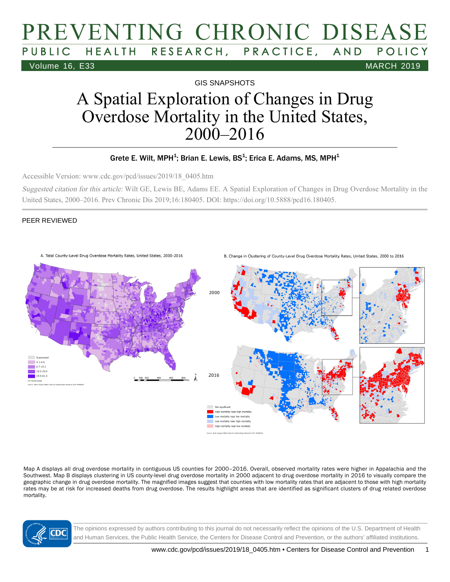## PREVENTING CHRONIC DISEASE HEALTH RESEARCH, PRACTICE, AND POLICY Volume 16, E33 MARCH 2019

GIS SNAPSHOTS

# A Spatial Exploration of Changes in Drug Overdose Mortality in the United States, 2000–2016

#### Grete E. Wilt, MPH $^4$ ; Brian E. Lewis, BS $^4$ ; Erica E. Adams, MS, MPH $^4$

Accessible Version: www.cdc.gov/pcd/issues/2019/18\_0405.htm

Suggested citation for this article: Wilt GE, Lewis BE, Adams EE. A Spatial Exploration of Changes in Drug Overdose Mortality in the United States, 2000–2016. Prev Chronic Dis 2019;16:180405. DOI: https://doi.org/10.5888/pcd16.180405.

#### PEER REVIEWED



Map A displays all drug overdose mortality in contiguous US counties for 2000–2016. Overall, observed mortality rates were higher in Appalachia and the Southwest. Map B displays clustering in US county-level drug overdose mortality in 2000 adjacent to drug overdose mortality in 2016 to visually compare the geographic change in drug overdose mortality. The magnified images suggest that counties with low mortality rates that are adjacent to those with high mortality rates may be at risk for increased deaths from drug overdose. The results highlight areas that are identified as significant clusters of drug related overdose mortality.



The opinions expressed by authors contributing to this journal do not necessarily reflect the opinions of the U.S. Department of Health and Human Services, the Public Health Service, the Centers for Disease Control and Prevention, or the authors' affiliated institutions.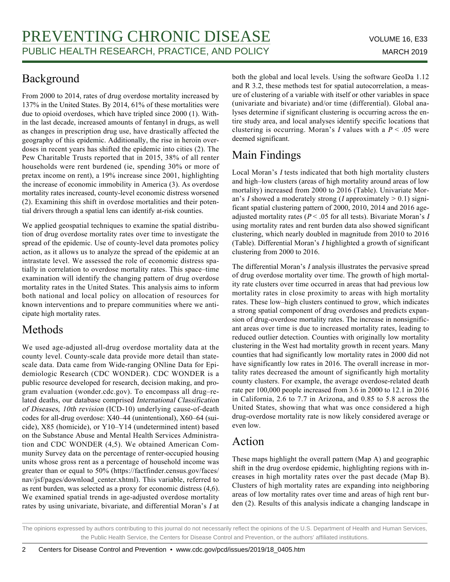#### Background

From 2000 to 2014, rates of drug overdose mortality increased by 137% in the United States. By 2014, 61% of these mortalities were due to opioid overdoses, which have tripled since 2000 (1). Within the last decade, increased amounts of fentanyl in drugs, as well as changes in prescription drug use, have drastically affected the geography of this epidemic. Additionally, the rise in heroin overdoses in recent years has shifted the epidemic into cities (2). The Pew Charitable Trusts reported that in 2015, 38% of all renter households were rent burdened (ie, spending 30% or more of pretax income on rent), a 19% increase since 2001, highlighting the increase of economic immobility in America (3). As overdose mortality rates increased, county-level economic distress worsened (2). Examining this shift in overdose mortalities and their potential drivers through a spatial lens can identify at-risk counties.

We applied geospatial techniques to examine the spatial distribution of drug overdose mortality rates over time to investigate the spread of the epidemic. Use of county-level data promotes policy action, as it allows us to analyze the spread of the epidemic at an intrastate level. We assessed the role of economic distress spatially in correlation to overdose mortality rates. This space–time examination will identify the changing pattern of drug overdose mortality rates in the United States. This analysis aims to inform both national and local policy on allocation of resources for known interventions and to prepare communities where we anticipate high mortality rates.

#### Methods

We used age-adjusted all-drug overdose mortality data at the county level. County-scale data provide more detail than statescale data. Data came from Wide-ranging ONline Data for Epidemiologic Research (CDC WONDER). CDC WONDER is a public resource developed for research, decision making, and program evaluation (wonder.cdc.gov). To encompass all drug–related deaths, our database comprised International Classification of Diseases, 10th revision (ICD-10) underlying cause-of-death codes for all-drug overdose: X40–44 (unintentional), X60–64 (suicide), X85 (homicide), or Y10–Y14 (undetermined intent) based on the Substance Abuse and Mental Health Services Administration and CDC WONDER (4,5). We obtained American Community Survey data on the percentage of renter-occupied housing units whose gross rent as a percentage of household income was greater than or equal to 50% (https://factfinder.census.gov/faces/ nav/jsf/pages/download\_center.xhtml). This variable, referred to as rent burden, was selected as a proxy for economic distress (4,6). We examined spatial trends in age-adjusted overdose mortality rates by using univariate, bivariate, and differential Moran's I at both the global and local levels. Using the software GeoDa 1.12 and R 3.2, these methods test for spatial autocorrelation, a measure of clustering of a variable with itself or other variables in space (univariate and bivariate) and/or time (differential). Global analyses determine if significant clustering is occurring across the entire study area, and local analyses identify specific locations that clustering is occurring. Moran's I values with a  $P < .05$  were deemed significant.

### Main Findings

Local Moran's I tests indicated that both high mortality clusters and high–low clusters (areas of high mortality around areas of low mortality) increased from 2000 to 2016 (Table). Univariate Moran's I showed a moderately strong (I approximately  $> 0.1$ ) significant spatial clustering pattern of 2000, 2010, 2014 and 2016 ageadjusted mortality rates ( $P < .05$  for all tests). Bivariate Moran's I using mortality rates and rent burden data also showed significant clustering, which nearly doubled in magnitude from 2010 to 2016 (Table). Differential Moran's I highlighted a growth of significant clustering from 2000 to 2016.

The differential Moran's I analysis illustrates the pervasive spread of drug overdose mortality over time. The growth of high mortality rate clusters over time occurred in areas that had previous low mortality rates in close proximity to areas with high mortality rates. These low–high clusters continued to grow, which indicates a strong spatial component of drug overdoses and predicts expansion of drug-overdose mortality rates. The increase in nonsignificant areas over time is due to increased mortality rates, leading to reduced outlier detection. Counties with originally low mortality clustering in the West had mortality growth in recent years. Many counties that had significantly low mortality rates in 2000 did not have significantly low rates in 2016. The overall increase in mortality rates decreased the amount of significantly high mortality county clusters. For example, the average overdose-related death rate per 100,000 people increased from 3.6 in 2000 to 12.1 in 2016 in California, 2.6 to 7.7 in Arizona, and 0.85 to 5.8 across the United States, showing that what was once considered a high drug-overdose mortality rate is now likely considered average or even low.

#### Action

These maps highlight the overall pattern (Map A) and geographic shift in the drug overdose epidemic, highlighting regions with increases in high mortality rates over the past decade (Map B). Clusters of high mortality rates are expanding into neighboring areas of low mortality rates over time and areas of high rent burden (2). Results of this analysis indicate a changing landscape in

The opinions expressed by authors contributing to this journal do not necessarily reflect the opinions of the U.S. Department of Health and Human Services, the Public Health Service, the Centers for Disease Control and Prevention, or the authors' affiliated institutions.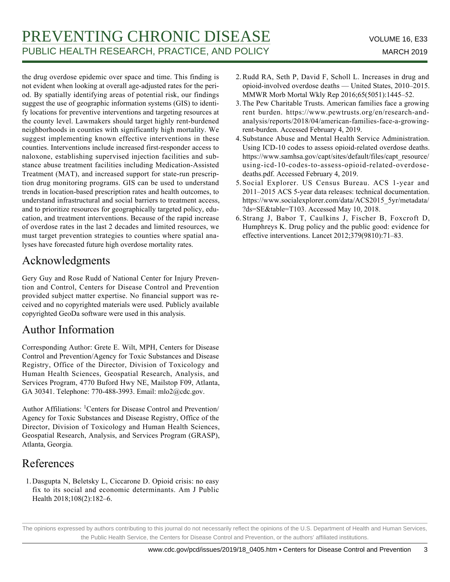## PREVENTING CHRONIC DISEASE VOLUME 16, E33 PUBLIC HEALTH RESEARCH, PRACTICE, AND POLICY MARCH 2019

the drug overdose epidemic over space and time. This finding is not evident when looking at overall age-adjusted rates for the period. By spatially identifying areas of potential risk, our findings suggest the use of geographic information systems (GIS) to identify locations for preventive interventions and targeting resources at the county level. Lawmakers should target highly rent-burdened neighborhoods in counties with significantly high mortality. We suggest implementing known effective interventions in these counties. Interventions include increased first-responder access to naloxone, establishing supervised injection facilities and substance abuse treatment facilities including Medication-Assisted Treatment (MAT), and increased support for state-run prescription drug monitoring programs. GIS can be used to understand trends in location-based prescription rates and health outcomes, to understand infrastructural and social barriers to treatment access, and to prioritize resources for geographically targeted policy, education, and treatment interventions. Because of the rapid increase of overdose rates in the last 2 decades and limited resources, we must target prevention strategies to counties where spatial analyses have forecasted future high overdose mortality rates.

### Acknowledgments

Gery Guy and Rose Rudd of National Center for Injury Prevention and Control, Centers for Disease Control and Prevention provided subject matter expertise. No financial support was received and no copyrighted materials were used. Publicly available copyrighted GeoDa software were used in this analysis.

#### Author Information

Corresponding Author: Grete E. Wilt, MPH, Centers for Disease Control and Prevention/Agency for Toxic Substances and Disease Registry, Office of the Director, Division of Toxicology and Human Health Sciences, Geospatial Research, Analysis, and Services Program, 4770 Buford Hwy NE, Mailstop F09, Atlanta, GA 30341. Telephone: 770-488-3993. Email: mlo2@cdc.gov.

Author Affiliations: <sup>1</sup>Centers for Disease Control and Prevention/ Agency for Toxic Substances and Disease Registry, Office of the Director, Division of Toxicology and Human Health Sciences, Geospatial Research, Analysis, and Services Program (GRASP), Atlanta, Georgia.

#### References

1. Dasgupta N, Beletsky L, Ciccarone D. Opioid crisis: no easy fix to its social and economic determinants. Am J Public Health 2018;108(2):182–6.

- 2. Rudd RA, Seth P, David F, Scholl L. Increases in drug and opioid-involved overdose deaths — United States, 2010–2015. MMWR Morb Mortal Wkly Rep 2016;65(5051):1445–52.
- 3. The Pew Charitable Trusts. American families face a growing rent burden. https://www.pewtrusts.org/en/research-andanalysis/reports/2018/04/american-families-face-a-growingrent-burden. Accessed February 4, 2019.
- 4. Substance Abuse and Mental Health Service Administration. Using ICD-10 codes to assess opioid-related overdose deaths. https://www.samhsa.gov/capt/sites/default/files/capt\_resource/ using-icd-10-codes-to-assess-opioid-related-overdosedeaths.pdf. Accessed February 4, 2019.
- 5. Social Explorer. US Census Bureau. ACS 1-year and 2011–2015 ACS 5-year data releases: technical documentation. https://www.socialexplorer.com/data/ACS2015\_5yr/metadata/ ?ds=SE&table=T103. Accessed May 10, 2018.
- 6. Strang J, Babor T, Caulkins J, Fischer B, Foxcroft D, Humphreys K. Drug policy and the public good: evidence for effective interventions. Lancet 2012;379(9810):71–83.

The opinions expressed by authors contributing to this journal do not necessarily reflect the opinions of the U.S. Department of Health and Human Services, the Public Health Service, the Centers for Disease Control and Prevention, or the authors' affiliated institutions.